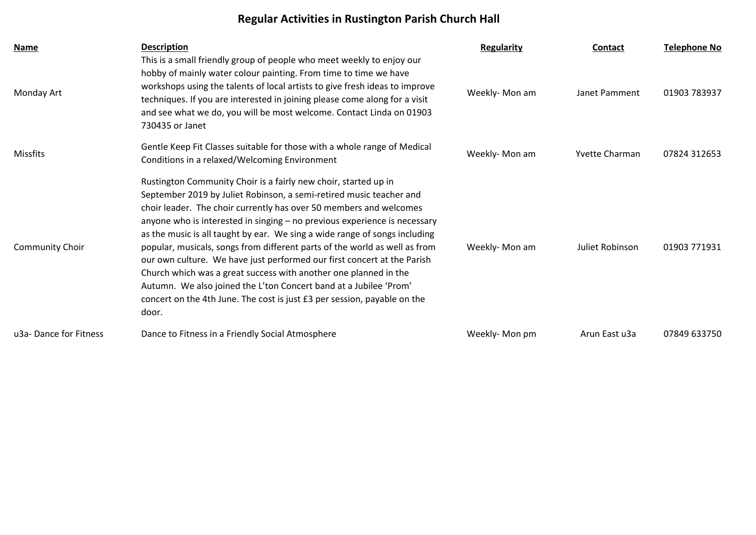## **Regular Activities in Rustington Parish Church Hall**

| Name                   | <b>Description</b>                                                                                                                                                                                                                                                                                                                                                                                                                                                                                                                                                                                                                                                                                                                                             | <b>Regularity</b> | <b>Contact</b>        | <b>Telephone No</b> |
|------------------------|----------------------------------------------------------------------------------------------------------------------------------------------------------------------------------------------------------------------------------------------------------------------------------------------------------------------------------------------------------------------------------------------------------------------------------------------------------------------------------------------------------------------------------------------------------------------------------------------------------------------------------------------------------------------------------------------------------------------------------------------------------------|-------------------|-----------------------|---------------------|
| Monday Art             | This is a small friendly group of people who meet weekly to enjoy our<br>hobby of mainly water colour painting. From time to time we have<br>workshops using the talents of local artists to give fresh ideas to improve<br>techniques. If you are interested in joining please come along for a visit<br>and see what we do, you will be most welcome. Contact Linda on 01903<br>730435 or Janet                                                                                                                                                                                                                                                                                                                                                              | Weekly-Mon am     | Janet Pamment         | 01903 783937        |
| Missfits               | Gentle Keep Fit Classes suitable for those with a whole range of Medical<br>Conditions in a relaxed/Welcoming Environment                                                                                                                                                                                                                                                                                                                                                                                                                                                                                                                                                                                                                                      | Weekly-Mon am     | <b>Yvette Charman</b> | 07824 312653        |
| <b>Community Choir</b> | Rustington Community Choir is a fairly new choir, started up in<br>September 2019 by Juliet Robinson, a semi-retired music teacher and<br>choir leader. The choir currently has over 50 members and welcomes<br>anyone who is interested in singing - no previous experience is necessary<br>as the music is all taught by ear. We sing a wide range of songs including<br>popular, musicals, songs from different parts of the world as well as from<br>our own culture. We have just performed our first concert at the Parish<br>Church which was a great success with another one planned in the<br>Autumn. We also joined the L'ton Concert band at a Jubilee 'Prom'<br>concert on the 4th June. The cost is just £3 per session, payable on the<br>door. | Weekly-Mon am     | Juliet Robinson       | 01903 771931        |
| u3a-Dance for Fitness  | Dance to Fitness in a Friendly Social Atmosphere                                                                                                                                                                                                                                                                                                                                                                                                                                                                                                                                                                                                                                                                                                               | Weekly-Mon pm     | Arun East u3a         | 07849 633750        |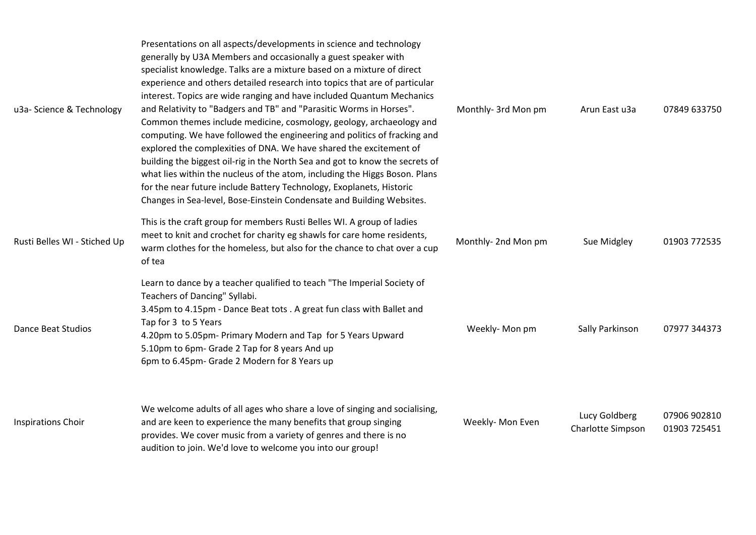| u3a- Science & Technology    | Presentations on all aspects/developments in science and technology<br>generally by U3A Members and occasionally a guest speaker with<br>specialist knowledge. Talks are a mixture based on a mixture of direct<br>experience and others detailed research into topics that are of particular<br>interest. Topics are wide ranging and have included Quantum Mechanics<br>and Relativity to "Badgers and TB" and "Parasitic Worms in Horses".<br>Common themes include medicine, cosmology, geology, archaeology and<br>computing. We have followed the engineering and politics of fracking and<br>explored the complexities of DNA. We have shared the excitement of<br>building the biggest oil-rig in the North Sea and got to know the secrets of<br>what lies within the nucleus of the atom, including the Higgs Boson. Plans<br>for the near future include Battery Technology, Exoplanets, Historic<br>Changes in Sea-level, Bose-Einstein Condensate and Building Websites. | Monthly- 3rd Mon pm | Arun East u3a                      | 07849 633750                 |
|------------------------------|---------------------------------------------------------------------------------------------------------------------------------------------------------------------------------------------------------------------------------------------------------------------------------------------------------------------------------------------------------------------------------------------------------------------------------------------------------------------------------------------------------------------------------------------------------------------------------------------------------------------------------------------------------------------------------------------------------------------------------------------------------------------------------------------------------------------------------------------------------------------------------------------------------------------------------------------------------------------------------------|---------------------|------------------------------------|------------------------------|
| Rusti Belles WI - Stiched Up | This is the craft group for members Rusti Belles WI. A group of ladies<br>meet to knit and crochet for charity eg shawls for care home residents,<br>warm clothes for the homeless, but also for the chance to chat over a cup<br>of tea                                                                                                                                                                                                                                                                                                                                                                                                                                                                                                                                                                                                                                                                                                                                              | Monthly-2nd Mon pm  | Sue Midgley                        | 01903 772535                 |
| <b>Dance Beat Studios</b>    | Learn to dance by a teacher qualified to teach "The Imperial Society of<br>Teachers of Dancing" Syllabi.<br>3.45pm to 4.15pm - Dance Beat tots . A great fun class with Ballet and<br>Tap for 3 to 5 Years<br>4.20pm to 5.05pm- Primary Modern and Tap for 5 Years Upward<br>5.10pm to 6pm- Grade 2 Tap for 8 years And up<br>6pm to 6.45pm- Grade 2 Modern for 8 Years up                                                                                                                                                                                                                                                                                                                                                                                                                                                                                                                                                                                                            | Weekly-Mon pm       | Sally Parkinson                    | 07977 344373                 |
| <b>Inspirations Choir</b>    | We welcome adults of all ages who share a love of singing and socialising,<br>and are keen to experience the many benefits that group singing<br>provides. We cover music from a variety of genres and there is no<br>audition to join. We'd love to welcome you into our group!                                                                                                                                                                                                                                                                                                                                                                                                                                                                                                                                                                                                                                                                                                      | Weekly- Mon Even    | Lucy Goldberg<br>Charlotte Simpson | 07906 902810<br>01903 725451 |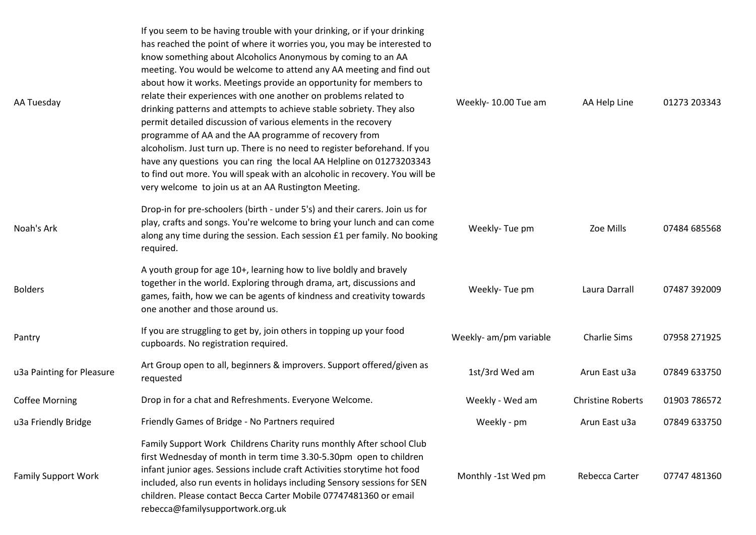| AA Tuesday                 | If you seem to be having trouble with your drinking, or if your drinking<br>has reached the point of where it worries you, you may be interested to<br>know something about Alcoholics Anonymous by coming to an AA<br>meeting. You would be welcome to attend any AA meeting and find out<br>about how it works. Meetings provide an opportunity for members to<br>relate their experiences with one another on problems related to<br>drinking patterns and attempts to achieve stable sobriety. They also<br>permit detailed discussion of various elements in the recovery<br>programme of AA and the AA programme of recovery from<br>alcoholism. Just turn up. There is no need to register beforehand. If you<br>have any questions you can ring the local AA Helpline on 01273203343<br>to find out more. You will speak with an alcoholic in recovery. You will be<br>very welcome to join us at an AA Rustington Meeting. | Weekly-10.00 Tue am    | AA Help Line             | 01273 203343 |
|----------------------------|-------------------------------------------------------------------------------------------------------------------------------------------------------------------------------------------------------------------------------------------------------------------------------------------------------------------------------------------------------------------------------------------------------------------------------------------------------------------------------------------------------------------------------------------------------------------------------------------------------------------------------------------------------------------------------------------------------------------------------------------------------------------------------------------------------------------------------------------------------------------------------------------------------------------------------------|------------------------|--------------------------|--------------|
| Noah's Ark                 | Drop-in for pre-schoolers (birth - under 5's) and their carers. Join us for<br>play, crafts and songs. You're welcome to bring your lunch and can come<br>along any time during the session. Each session £1 per family. No booking<br>required.                                                                                                                                                                                                                                                                                                                                                                                                                                                                                                                                                                                                                                                                                    | Weekly-Tue pm          | Zoe Mills                | 07484 685568 |
| <b>Bolders</b>             | A youth group for age 10+, learning how to live boldly and bravely<br>together in the world. Exploring through drama, art, discussions and<br>games, faith, how we can be agents of kindness and creativity towards<br>one another and those around us.                                                                                                                                                                                                                                                                                                                                                                                                                                                                                                                                                                                                                                                                             | Weekly-Tue pm          | Laura Darrall            | 07487 392009 |
| Pantry                     | If you are struggling to get by, join others in topping up your food<br>cupboards. No registration required.                                                                                                                                                                                                                                                                                                                                                                                                                                                                                                                                                                                                                                                                                                                                                                                                                        | Weekly- am/pm variable | <b>Charlie Sims</b>      | 07958 271925 |
| u3a Painting for Pleasure  | Art Group open to all, beginners & improvers. Support offered/given as<br>requested                                                                                                                                                                                                                                                                                                                                                                                                                                                                                                                                                                                                                                                                                                                                                                                                                                                 | 1st/3rd Wed am         | Arun East u3a            | 07849 633750 |
| <b>Coffee Morning</b>      | Drop in for a chat and Refreshments. Everyone Welcome.                                                                                                                                                                                                                                                                                                                                                                                                                                                                                                                                                                                                                                                                                                                                                                                                                                                                              | Weekly - Wed am        | <b>Christine Roberts</b> | 01903 786572 |
| u3a Friendly Bridge        | Friendly Games of Bridge - No Partners required                                                                                                                                                                                                                                                                                                                                                                                                                                                                                                                                                                                                                                                                                                                                                                                                                                                                                     | Weekly - pm            | Arun East u3a            | 07849 633750 |
| <b>Family Support Work</b> | Family Support Work Childrens Charity runs monthly After school Club<br>first Wednesday of month in term time 3.30-5.30pm open to children<br>infant junior ages. Sessions include craft Activities storytime hot food<br>included, also run events in holidays including Sensory sessions for SEN<br>children. Please contact Becca Carter Mobile 07747481360 or email<br>rebecca@familysupportwork.org.uk                                                                                                                                                                                                                                                                                                                                                                                                                                                                                                                         | Monthly -1st Wed pm    | Rebecca Carter           | 07747 481360 |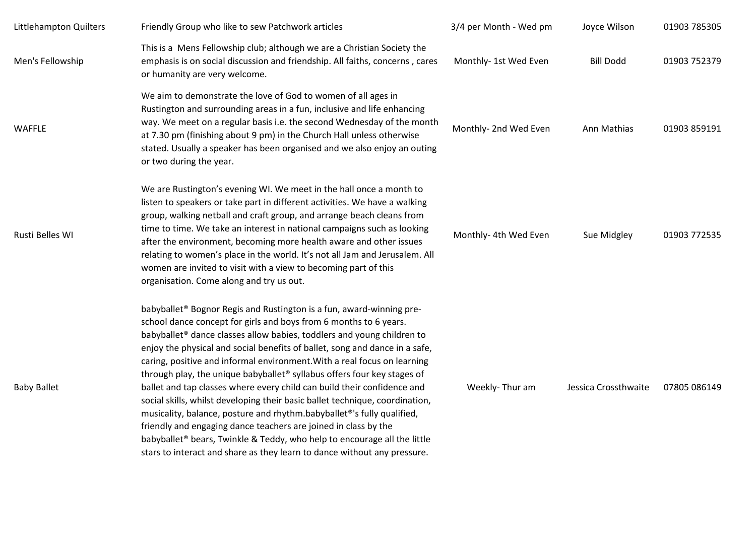| Littlehampton Quilters | Friendly Group who like to sew Patchwork articles                                                                                                                                                                                                                                                                                                                                                                                                                                                                                                                                                                                                                                                                                                                                                                                                                                                                                                                         | 3/4 per Month - Wed pm | Joyce Wilson         | 01903 785305 |
|------------------------|---------------------------------------------------------------------------------------------------------------------------------------------------------------------------------------------------------------------------------------------------------------------------------------------------------------------------------------------------------------------------------------------------------------------------------------------------------------------------------------------------------------------------------------------------------------------------------------------------------------------------------------------------------------------------------------------------------------------------------------------------------------------------------------------------------------------------------------------------------------------------------------------------------------------------------------------------------------------------|------------------------|----------------------|--------------|
| Men's Fellowship       | This is a Mens Fellowship club; although we are a Christian Society the<br>emphasis is on social discussion and friendship. All faiths, concerns, cares<br>or humanity are very welcome.                                                                                                                                                                                                                                                                                                                                                                                                                                                                                                                                                                                                                                                                                                                                                                                  | Monthly- 1st Wed Even  | <b>Bill Dodd</b>     | 01903 752379 |
| <b>WAFFLE</b>          | We aim to demonstrate the love of God to women of all ages in<br>Rustington and surrounding areas in a fun, inclusive and life enhancing<br>way. We meet on a regular basis i.e. the second Wednesday of the month<br>at 7.30 pm (finishing about 9 pm) in the Church Hall unless otherwise<br>stated. Usually a speaker has been organised and we also enjoy an outing<br>or two during the year.                                                                                                                                                                                                                                                                                                                                                                                                                                                                                                                                                                        | Monthly- 2nd Wed Even  | Ann Mathias          | 01903 859191 |
| Rusti Belles WI        | We are Rustington's evening WI. We meet in the hall once a month to<br>listen to speakers or take part in different activities. We have a walking<br>group, walking netball and craft group, and arrange beach cleans from<br>time to time. We take an interest in national campaigns such as looking<br>after the environment, becoming more health aware and other issues<br>relating to women's place in the world. It's not all Jam and Jerusalem. All<br>women are invited to visit with a view to becoming part of this<br>organisation. Come along and try us out.                                                                                                                                                                                                                                                                                                                                                                                                 | Monthly- 4th Wed Even  | Sue Midgley          | 01903 772535 |
| <b>Baby Ballet</b>     | babyballet <sup>®</sup> Bognor Regis and Rustington is a fun, award-winning pre-<br>school dance concept for girls and boys from 6 months to 6 years.<br>babyballet <sup>®</sup> dance classes allow babies, toddlers and young children to<br>enjoy the physical and social benefits of ballet, song and dance in a safe,<br>caring, positive and informal environment. With a real focus on learning<br>through play, the unique babyballet <sup>®</sup> syllabus offers four key stages of<br>ballet and tap classes where every child can build their confidence and<br>social skills, whilst developing their basic ballet technique, coordination,<br>musicality, balance, posture and rhythm.babyballet®'s fully qualified,<br>friendly and engaging dance teachers are joined in class by the<br>babyballet <sup>®</sup> bears, Twinkle & Teddy, who help to encourage all the little<br>stars to interact and share as they learn to dance without any pressure. | Weekly-Thur am         | Jessica Crossthwaite | 07805 086149 |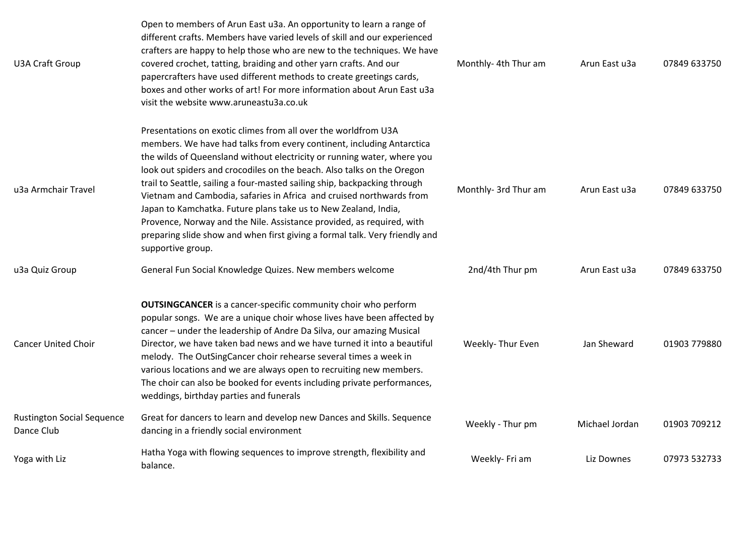| U3A Craft Group                                 | Open to members of Arun East u3a. An opportunity to learn a range of<br>different crafts. Members have varied levels of skill and our experienced<br>crafters are happy to help those who are new to the techniques. We have<br>covered crochet, tatting, braiding and other yarn crafts. And our<br>papercrafters have used different methods to create greetings cards,<br>boxes and other works of art! For more information about Arun East u3a<br>visit the website www.aruneastu3a.co.uk                                                                                                                                                                                                    | Monthly- 4th Thur am | Arun East u3a  | 07849 633750 |
|-------------------------------------------------|---------------------------------------------------------------------------------------------------------------------------------------------------------------------------------------------------------------------------------------------------------------------------------------------------------------------------------------------------------------------------------------------------------------------------------------------------------------------------------------------------------------------------------------------------------------------------------------------------------------------------------------------------------------------------------------------------|----------------------|----------------|--------------|
| u3a Armchair Travel                             | Presentations on exotic climes from all over the worldfrom U3A<br>members. We have had talks from every continent, including Antarctica<br>the wilds of Queensland without electricity or running water, where you<br>look out spiders and crocodiles on the beach. Also talks on the Oregon<br>trail to Seattle, sailing a four-masted sailing ship, backpacking through<br>Vietnam and Cambodia, safaries in Africa and cruised northwards from<br>Japan to Kamchatka. Future plans take us to New Zealand, India,<br>Provence, Norway and the Nile. Assistance provided, as required, with<br>preparing slide show and when first giving a formal talk. Very friendly and<br>supportive group. | Monthly- 3rd Thur am | Arun East u3a  | 07849 633750 |
| u3a Quiz Group                                  | General Fun Social Knowledge Quizes. New members welcome                                                                                                                                                                                                                                                                                                                                                                                                                                                                                                                                                                                                                                          | 2nd/4th Thur pm      | Arun East u3a  | 07849 633750 |
| <b>Cancer United Choir</b>                      | <b>OUTSINGCANCER</b> is a cancer-specific community choir who perform<br>popular songs. We are a unique choir whose lives have been affected by<br>cancer - under the leadership of Andre Da Silva, our amazing Musical<br>Director, we have taken bad news and we have turned it into a beautiful<br>melody. The OutSingCancer choir rehearse several times a week in<br>various locations and we are always open to recruiting new members.<br>The choir can also be booked for events including private performances,<br>weddings, birthday parties and funerals                                                                                                                               | Weekly- Thur Even    | Jan Sheward    | 01903 779880 |
| <b>Rustington Social Sequence</b><br>Dance Club | Great for dancers to learn and develop new Dances and Skills. Sequence<br>dancing in a friendly social environment                                                                                                                                                                                                                                                                                                                                                                                                                                                                                                                                                                                | Weekly - Thur pm     | Michael Jordan | 01903 709212 |
| Yoga with Liz                                   | Hatha Yoga with flowing sequences to improve strength, flexibility and<br>balance.                                                                                                                                                                                                                                                                                                                                                                                                                                                                                                                                                                                                                | Weekly- Fri am       | Liz Downes     | 07973 532733 |